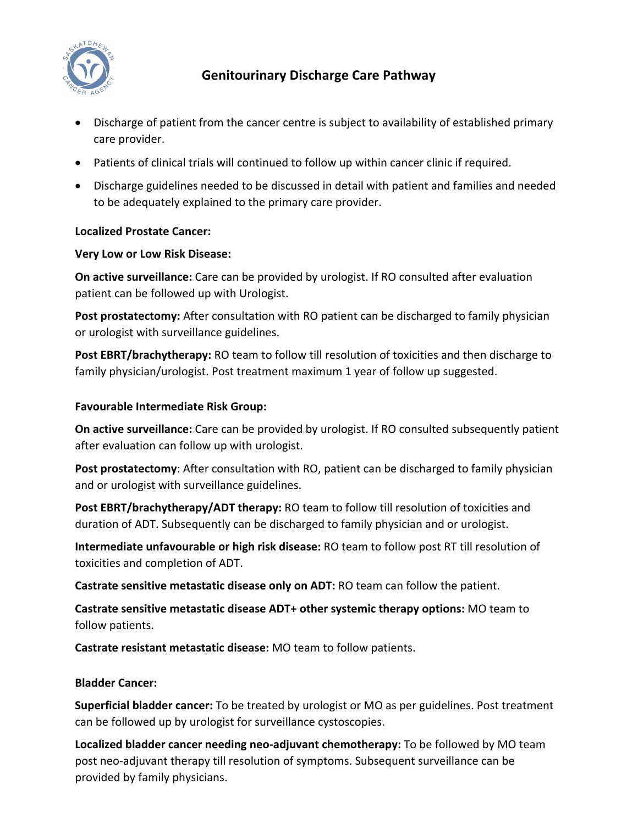

# **Genitourinary Discharge Care Pathway**

- Discharge of patient from the cancer centre is subject to availability of established primary care provider.
- Patients of clinical trials will continued to follow up within cancer clinic if required.
- Discharge guidelines needed to be discussed in detail with patient and families and needed to be adequately explained to the primary care provider.

## **Localized Prostate Cancer:**

### **Very Low or Low Risk Disease:**

**On active surveillance:** Care can be provided by urologist. If RO consulted after evaluation patient can be followed up with Urologist.

**Post prostatectomy:** After consultation with RO patient can be discharged to family physician or urologist with surveillance guidelines.

**Post EBRT/brachytherapy:** RO team to follow till resolution of toxicities and then discharge to family physician/urologist. Post treatment maximum 1 year of follow up suggested.

### **Favourable Intermediate Risk Group:**

**On active surveillance:** Care can be provided by urologist. If RO consulted subsequently patient after evaluation can follow up with urologist.

**Post prostatectomy**: After consultation with RO, patient can be discharged to family physician and or urologist with surveillance guidelines.

**Post EBRT/brachytherapy/ADT therapy:** RO team to follow till resolution of toxicities and duration of ADT. Subsequently can be discharged to family physician and or urologist.

**Intermediate unfavourable or high risk disease:** RO team to follow post RT till resolution of toxicities and completion of ADT.

**Castrate sensitive metastatic disease only on ADT:** RO team can follow the patient.

**Castrate sensitive metastatic disease ADT+ other systemic therapy options:** MO team to follow patients.

**Castrate resistant metastatic disease:** MO team to follow patients.

## **Bladder Cancer:**

**Superficial bladder cancer:** To be treated by urologist or MO as per guidelines. Post treatment can be followed up by urologist for surveillance cystoscopies.

**Localized bladder cancer needing neo‐adjuvant chemotherapy:** To be followed by MO team post neo‐adjuvant therapy till resolution of symptoms. Subsequent surveillance can be provided by family physicians.